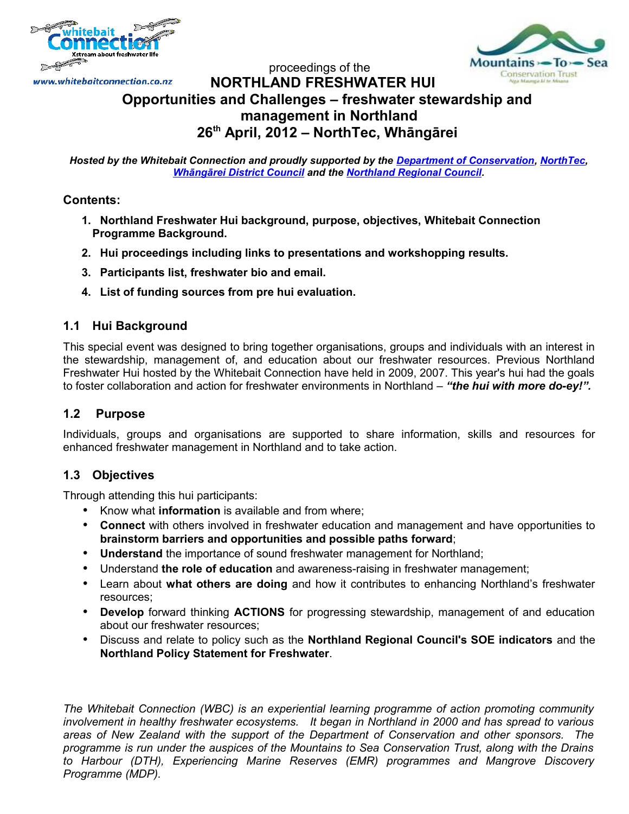



### proceedings of the www.whitebaitconnection.co.nz **NORTHLAND FRESHWATER HUI Opportunities and Challenges – freshwater stewardship and management in Northland 26th April, 2012 – NorthTec, Whāngārei**

*Hosted by the Whitebait Connection and proudly supported by the [Department of Conservation,](http://www.doc.govt.nz/) [NorthTec,](http://www.northland.ac.nz/) [Whāngārei District Council](http://www.wdc.govt.nz/) and the [Northland Regional Council.](http://www.nrc.govt.nz/)*

# **Contents:**

- **1. Northland Freshwater Hui background, purpose, objectives, Whitebait Connection Programme Background.**
- **2. Hui proceedings including links to presentations and workshopping results.**
- **3. Participants list, freshwater bio and email.**
- **4. List of funding sources from pre hui evaluation.**

# **1.1 Hui Background**

This special event was designed to bring together organisations, groups and individuals with an interest in the stewardship, management of, and education about our freshwater resources. Previous Northland Freshwater Hui hosted by the Whitebait Connection have held in 2009, 2007. This year's hui had the goals to foster collaboration and action for freshwater environments in Northland – *"the hui with more do-ey!".*

# **1.2 Purpose**

Individuals, groups and organisations are supported to share information, skills and resources for enhanced freshwater management in Northland and to take action.

# **1.3 Objectives**

Through attending this hui participants:

- Know what **information** is available and from where;
- **Connect** with others involved in freshwater education and management and have opportunities to **brainstorm barriers and opportunities and possible paths forward**;
- **Understand** the importance of sound freshwater management for Northland;
- Understand **the role of education** and awareness-raising in freshwater management;
- Learn about **what others are doing** and how it contributes to enhancing Northland's freshwater resources;
- **Develop** forward thinking **ACTIONS** for progressing stewardship, management of and education about our freshwater resources;
- Discuss and relate to policy such as the **Northland Regional Council's SOE indicators** and the **Northland Policy Statement for Freshwater**.

*The Whitebait Connection (WBC) is an experiential learning programme of action promoting community involvement in healthy freshwater ecosystems. It began in Northland in 2000 and has spread to various areas of New Zealand with the support of the Department of Conservation and other sponsors. The programme is run under the auspices of the Mountains to Sea Conservation Trust, along with the Drains to Harbour (DTH), Experiencing Marine Reserves (EMR) programmes and Mangrove Discovery Programme (MDP).*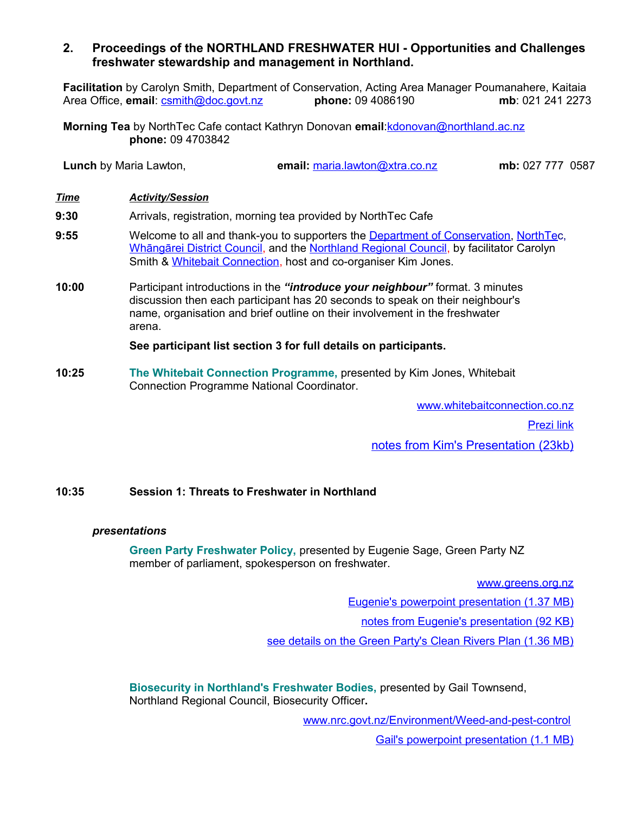# **2. Proceedings of the NORTHLAND FRESHWATER HUI - Opportunities and Challenges freshwater stewardship and management in Northland.**

**Facilitation** by Carolyn Smith, Department of Conservation, Acting Area Manager Poumanahere, Kaitaia Area Office, **email**: [csmith@doc.govt.nz](mailto:csmith@doc.govt.nz) **phone:** 09 4086190 **mb**: 021 241 2273

**Morning Tea** by NorthTec Cafe contact Kathryn Donovan **email**[:kdonovan@northland.ac.nz](mailto:kdonovan@northland.ac.nz)  **phone:** 09 4703842

**Lunch** by Maria Lawton, **email:** [maria.lawton@xtra.co.nz](mailto:maria.lawton@xtra.co.nz) **mb:** 027 777 0587

- *Time Activity/Session*
- **9:30** Arrivals, registration, morning tea provided by NorthTec Cafe
- **9:55** Welcome to all and thank-you to supporters the [Department of Conservation,](http://www.doc.govt.nz/) [NorthTec](http://www.northland.ac.nz/), [Whāngārei District Council,](http://www.wdc.govt.nz/) and the [Northland Regional Council,](http://www.nrc.govt.nz/) by facilitator Carolyn Smith & [Whitebait Connection,](http://www.whitebaitconnection.co.nz/) host and co-organiser Kim Jones.
- **10:00** Participant introductions in the *"introduce your neighbour"* format. 3 minutes discussion then each participant has 20 seconds to speak on their neighbour's name, organisation and brief outline on their involvement in the freshwater arena.

### **See participant list section 3 for full details on participants.**

**10:25 The Whitebait Connection Programme,** presented by Kim Jones, Whitebait Connection Programme National Coordinator.

> www.whitebaitconnection.co.nz Prezi link

 [notes from Kim's Presentation](http://www.whitebaitconnection.co.nz/uploads/file/Northland%20Freshwater%20Hui%202012/wbc_script_for_northland_fw_hui_2012.doc) (23kb)

## **10:35 Session 1: Threats to Freshwater in Northland**

#### *presentations*

**Green Party Freshwater Policy,** presented by Eugenie Sage, Green Party NZ member of parliament, spokesperson on freshwater.

[www.greens.org.nz](http://www.greens.org.nz/)

[Eugenie's powerpoint presentation \(1.37 MB\)](http://www.whitebaitconnection.co.nz/uploads/file/Northland%20Freshwater%20Hui%202012/eugenie_sage_ppt_northland_hui.pdf)

[notes from Eugenie's presentation \(92 KB\)](http://www.whitebaitconnection.co.nz/uploads/file/Northland%20Freshwater%20Hui%202012/eugenie_sage_notes_northland_hui.pdf)

[see details on the Green Party's Clean Rivers Plan \(1.36 MB\)](http://www.greens.org.nz/sites/default/files/gp_cleanrivers2011_booklet_for_a4_print.pdf)

**Biosecurity in Northland's Freshwater Bodies,** presented by Gail Townsend, Northland Regional Council, Biosecurity Officer**.**

[www.nrc.govt.nz/Environment/Weed-and-pest-control](http://www.nrc.govt.nz/Environment/Weed-and-pest-control)

[Gail's powerpoint presentation \(1.1 MB\)](http://www.whitebaitconnection.co.nz/uploads/file/Northland%20Freshwater%20Hui%202012/gail_townsend_ppt_northland_hui.pdf)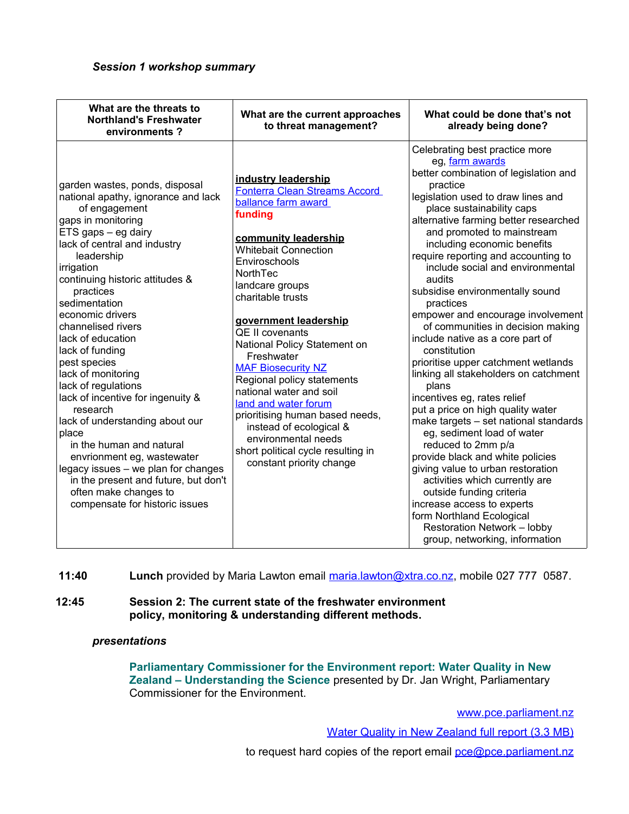| What are the threats to<br><b>Northland's Freshwater</b><br>environments?                                                                                                                                                                                                                                                                                                                                                                                                                                                                                                                                                                                                                                        | What are the current approaches<br>to threat management?                                                                                                                                                                                                                                                                                                                                                                                                                                                                                                                                        | What could be done that's not<br>already being done?                                                                                                                                                                                                                                                                                                                                                                                                                                                                                                                                                                                                                                                                                                                                                                                                                                                                                                                                                                                                                                   |
|------------------------------------------------------------------------------------------------------------------------------------------------------------------------------------------------------------------------------------------------------------------------------------------------------------------------------------------------------------------------------------------------------------------------------------------------------------------------------------------------------------------------------------------------------------------------------------------------------------------------------------------------------------------------------------------------------------------|-------------------------------------------------------------------------------------------------------------------------------------------------------------------------------------------------------------------------------------------------------------------------------------------------------------------------------------------------------------------------------------------------------------------------------------------------------------------------------------------------------------------------------------------------------------------------------------------------|----------------------------------------------------------------------------------------------------------------------------------------------------------------------------------------------------------------------------------------------------------------------------------------------------------------------------------------------------------------------------------------------------------------------------------------------------------------------------------------------------------------------------------------------------------------------------------------------------------------------------------------------------------------------------------------------------------------------------------------------------------------------------------------------------------------------------------------------------------------------------------------------------------------------------------------------------------------------------------------------------------------------------------------------------------------------------------------|
| garden wastes, ponds, disposal<br>national apathy, ignorance and lack<br>of engagement<br>gaps in monitoring<br>ETS gaps - eg dairy<br>lack of central and industry<br>leadership<br>irrigation<br>continuing historic attitudes &<br>practices<br>sedimentation<br>economic drivers<br>channelised rivers<br>lack of education<br>lack of funding<br>pest species<br>lack of monitoring<br>lack of regulations<br>lack of incentive for ingenuity &<br>research<br>lack of understanding about our<br>place<br>in the human and natural<br>envrionment eg, wastewater<br>legacy issues - we plan for changes<br>in the present and future, but don't<br>often make changes to<br>compensate for historic issues | industry leadership<br><b>Fonterra Clean Streams Accord</b><br>ballance farm award<br>funding<br>community leadership<br><b>Whitebait Connection</b><br>Enviroschools<br><b>NorthTec</b><br>landcare groups<br>charitable trusts<br>government leadership<br>QE II covenants<br>National Policy Statement on<br>Freshwater<br><b>MAF Biosecurity NZ</b><br>Regional policy statements<br>national water and soil<br>land and water forum<br>prioritising human based needs,<br>instead of ecological &<br>environmental needs<br>short political cycle resulting in<br>constant priority change | Celebrating best practice more<br>eg, farm awards<br>better combination of legislation and<br>practice<br>legislation used to draw lines and<br>place sustainability caps<br>alternative farming better researched<br>and promoted to mainstream<br>including economic benefits<br>require reporting and accounting to<br>include social and environmental<br>audits<br>subsidise environmentally sound<br>practices<br>empower and encourage involvement<br>of communities in decision making<br>include native as a core part of<br>constitution<br>prioritise upper catchment wetlands<br>linking all stakeholders on catchment<br>plans<br>incentives eg, rates relief<br>put a price on high quality water<br>make targets - set national standards<br>eg, sediment load of water<br>reduced to 2mm p/a<br>provide black and white policies<br>giving value to urban restoration<br>activities which currently are<br>outside funding criteria<br>increase access to experts<br>form Northland Ecological<br><b>Restoration Network - lobby</b><br>group, networking, information |

**11:40 Lunch** provided by Maria Lawton email [maria.lawton@xtra.co.nz,](mailto:maria.lawton@xtra.co.nz) mobile 027 777 0587.

### **12:45 Session 2: The current state of the freshwater environment policy, monitoring & understanding different methods.**

#### *presentations*

 **Parliamentary Commissioner for the Environment report: Water Quality in New Zealand – Understanding the Science** presented by Dr. Jan Wright, Parliamentary Commissioner for the Environment.

[www.pce.parliament.nz](http://www.pce.parliament.nz/)

[Water Quality in New Zealand full report \(3.3 MB\)](http://www.pce.parliament.nz/assets/Uploads/PCE-Water-Quality-in-New-Zealand.pdf)

to request hard copies of the report email [pce@pce.parliament.nz](mailto:pce@pce.parliament.nz)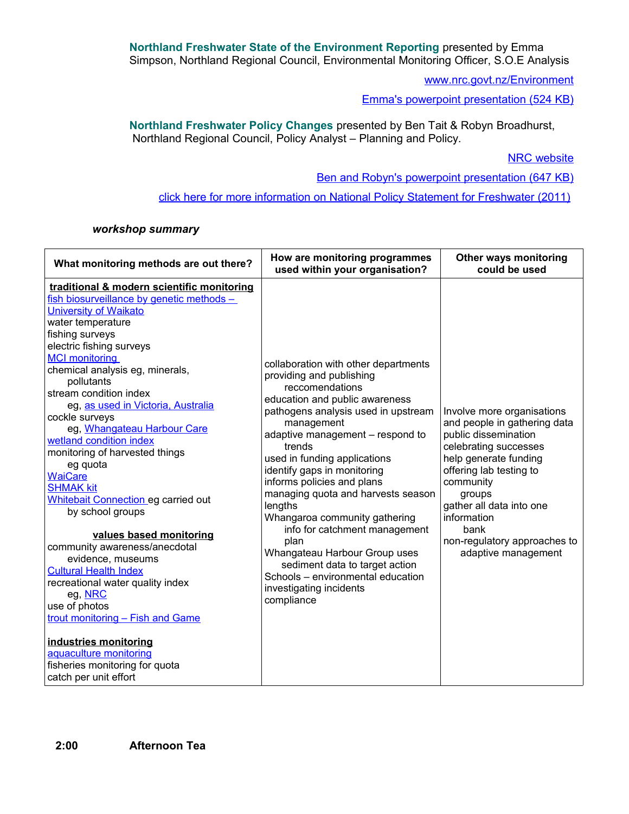**Northland Freshwater State of the Environment Reporting** presented by Emma Simpson, Northland Regional Council, Environmental Monitoring Officer, S.O.E Analysis

[www.nrc.govt.nz/Environment](http://www.nrc.govt.nz/Environment/)

[Emma's powerpoint presentation \(524 KB\)](http://www.whitebaitconnection.co.nz/uploads/file/Northland%20Freshwater%20Hui%202012/emma_simpson_freshwater_monitoring.pdf)

**Northland Freshwater Policy Changes** presented by Ben Tait & Robyn Broadhurst, Northland Regional Council, Policy Analyst – Planning and Policy.

**NRC** website

[Ben and Robyn's powerpoint presentation \(647 KB\)](http://www.whitebaitconnection.co.nz/uploads/file/Northland%20Freshwater%20Hui%202012/ben_tait_robyn_broadhurst_nps_fw.pdf)

[click here for more information on National Policy Statement for Freshwater \(2011\)](http://www.mfe.govt.nz/rma/central/nps/freshwater-management.html)

#### *workshop summary*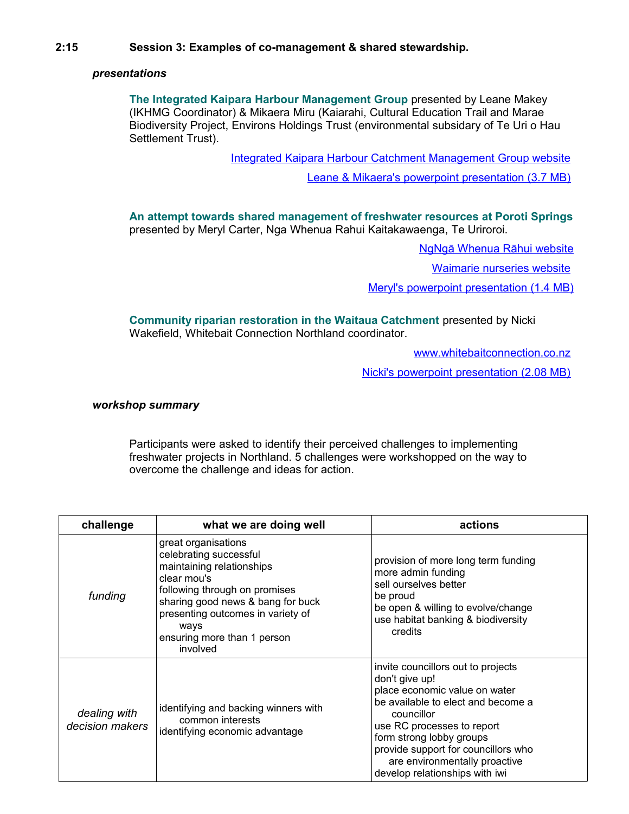### *presentations*

**The Integrated Kaipara Harbour Management Group** presented by Leane Makey (IKHMG Coordinator) & Mikaera Miru (Kaiarahi, Cultural Education Trail and Marae Biodiversity Project, Environs Holdings Trust (environmental subsidary of Te Uri o Hau Settlement Trust).

[Integrated Kaipara Harbour Catchment Management Group website](http://www.kaiparaharbour.net.nz/)

[Leane & Mikaera's powerpoint presentation \(3.7 MB\)](http://www.whitebaitconnection.co.nz/uploads/file/Northland%20Freshwater%20Hui%202012/leane_makey_ikhmg.pdf)

**An attempt towards shared management of freshwater resources at Poroti Springs** presented by Meryl Carter, Nga Whenua Rahui Kaitakawaenga, Te Uriroroi.

Ng Nga Whenua Rāhui website

[Waimarie nurseries website](http://www.waimarienurseries.co.nz/Index.cfm)

[Meryl's powerpoint presentation \(1.4 MB\)](http://www.whitebaitconnection.co.nz/uploads/file/Northland%20Freshwater%20Hui%202012/meryl_carter_waimarie.pdf)

**Community riparian restoration in the Waitaua Catchment** presented by Nicki Wakefield, Whitebait Connection Northland coordinator.

[www.whitebaitconnection.co.nz](http://www.whitebaitconnection.co.nz/)

[Nicki's powerpoint presentation \(2.08 MB\)](http://www.whitebaitconnection.co.nz/uploads/file/Northland%20Freshwater%20Hui%202012/nicki_wakefield_waitaua.pdf)

#### *workshop summary*

Participants were asked to identify their perceived challenges to implementing freshwater projects in Northland. 5 challenges were workshopped on the way to overcome the challenge and ideas for action.

| challenge                       | what we are doing well                                                                                                                                                                                                                                  | actions                                                                                                                                                                                                                                                                                                       |
|---------------------------------|---------------------------------------------------------------------------------------------------------------------------------------------------------------------------------------------------------------------------------------------------------|---------------------------------------------------------------------------------------------------------------------------------------------------------------------------------------------------------------------------------------------------------------------------------------------------------------|
| funding                         | great organisations<br>celebrating successful<br>maintaining relationships<br>clear mou's<br>following through on promises<br>sharing good news & bang for buck<br>presenting outcomes in variety of<br>ways<br>ensuring more than 1 person<br>involved | provision of more long term funding<br>more admin funding<br>sell ourselves better<br>be proud<br>be open & willing to evolve/change<br>use habitat banking & biodiversity<br>credits                                                                                                                         |
| dealing with<br>decision makers | identifying and backing winners with<br>common interests<br>identifying economic advantage                                                                                                                                                              | invite councillors out to projects<br>don't give up!<br>place economic value on water<br>be available to elect and become a<br>councillor<br>use RC processes to report<br>form strong lobby groups<br>provide support for councillors who<br>are environmentally proactive<br>develop relationships with iwi |